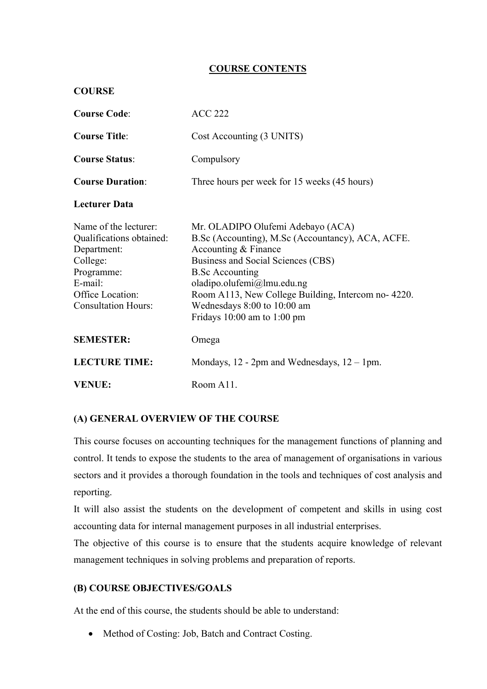## **COURSE CONTENTS**

| <b>COURSE</b>                                                                                                                                           |                                                                                                                                                                                                                                                                                                                                  |
|---------------------------------------------------------------------------------------------------------------------------------------------------------|----------------------------------------------------------------------------------------------------------------------------------------------------------------------------------------------------------------------------------------------------------------------------------------------------------------------------------|
| <b>Course Code:</b>                                                                                                                                     | <b>ACC 222</b>                                                                                                                                                                                                                                                                                                                   |
| <b>Course Title:</b>                                                                                                                                    | Cost Accounting (3 UNITS)                                                                                                                                                                                                                                                                                                        |
| <b>Course Status:</b>                                                                                                                                   | Compulsory                                                                                                                                                                                                                                                                                                                       |
| <b>Course Duration:</b>                                                                                                                                 | Three hours per week for 15 weeks (45 hours)                                                                                                                                                                                                                                                                                     |
| <b>Lecturer Data</b>                                                                                                                                    |                                                                                                                                                                                                                                                                                                                                  |
| Name of the lecturer:<br>Qualifications obtained:<br>Department:<br>College:<br>Programme:<br>E-mail:<br>Office Location:<br><b>Consultation Hours:</b> | Mr. OLADIPO Olufemi Adebayo (ACA)<br>B.Sc (Accounting), M.Sc (Accountancy), ACA, ACFE.<br>Accounting & Finance<br>Business and Social Sciences (CBS)<br><b>B.Sc Accounting</b><br>oladipo.olufemi@lmu.edu.ng<br>Room A113, New College Building, Intercom no-4220.<br>Wednesdays 8:00 to 10:00 am<br>Fridays 10:00 am to 1:00 pm |
| <b>SEMESTER:</b>                                                                                                                                        | Omega                                                                                                                                                                                                                                                                                                                            |
| <b>LECTURE TIME:</b>                                                                                                                                    | Mondays, $12 - 2pm$ and Wednesdays, $12 - 1pm$ .                                                                                                                                                                                                                                                                                 |
| <b>VENUE:</b>                                                                                                                                           | Room A11.                                                                                                                                                                                                                                                                                                                        |

## **(A) GENERAL OVERVIEW OF THE COURSE**

This course focuses on accounting techniques for the management functions of planning and control. It tends to expose the students to the area of management of organisations in various sectors and it provides a thorough foundation in the tools and techniques of cost analysis and reporting.

It will also assist the students on the development of competent and skills in using cost accounting data for internal management purposes in all industrial enterprises.

The objective of this course is to ensure that the students acquire knowledge of relevant management techniques in solving problems and preparation of reports.

#### **(B) COURSE OBJECTIVES/GOALS**

At the end of this course, the students should be able to understand:

• Method of Costing: Job, Batch and Contract Costing.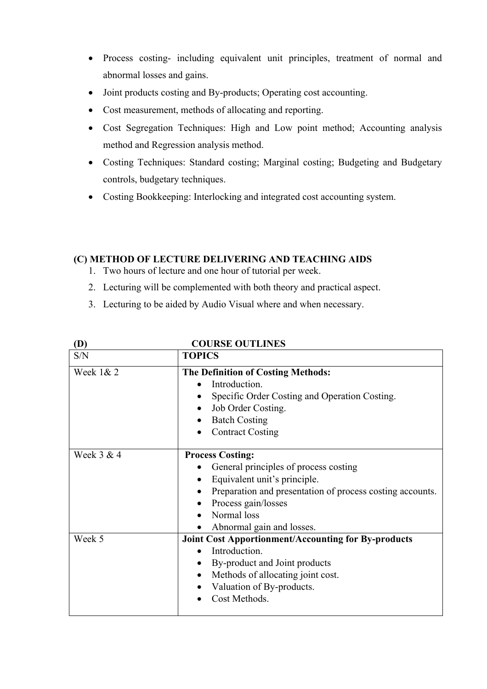- Process costing- including equivalent unit principles, treatment of normal and abnormal losses and gains.
- Joint products costing and By-products; Operating cost accounting.
- Cost measurement, methods of allocating and reporting.
- Cost Segregation Techniques: High and Low point method; Accounting analysis method and Regression analysis method.
- Costing Techniques: Standard costing; Marginal costing; Budgeting and Budgetary controls, budgetary techniques.
- Costing Bookkeeping: Interlocking and integrated cost accounting system.

## **(C) METHOD OF LECTURE DELIVERING AND TEACHING AIDS**

1. Two hours of lecture and one hour of tutorial per week.

**COURSE OUTLINES** 

- 2. Lecturing will be complemented with both theory and practical aspect.
- 3. Lecturing to be aided by Audio Visual where and when necessary.

| (V)         | CUURSE UU HIINES                                                                                                                                                                                                                          |
|-------------|-------------------------------------------------------------------------------------------------------------------------------------------------------------------------------------------------------------------------------------------|
| S/N         | <b>TOPICS</b>                                                                                                                                                                                                                             |
| Week $1& 2$ | <b>The Definition of Costing Methods:</b><br>Introduction.<br>Specific Order Costing and Operation Costing.<br>Job Order Costing.<br><b>Batch Costing</b><br><b>Contract Costing</b>                                                      |
| Week 3 & 4  | <b>Process Costing:</b><br>General principles of process costing<br>Equivalent unit's principle.<br>Preparation and presentation of process costing accounts.<br>Process gain/losses<br>Normal loss                                       |
| Week 5      | Abnormal gain and losses.<br><b>Joint Cost Apportionment/Accounting for By-products</b><br>Introduction.<br>$\bullet$<br>By-product and Joint products<br>Methods of allocating joint cost.<br>Valuation of By-products.<br>Cost Methods. |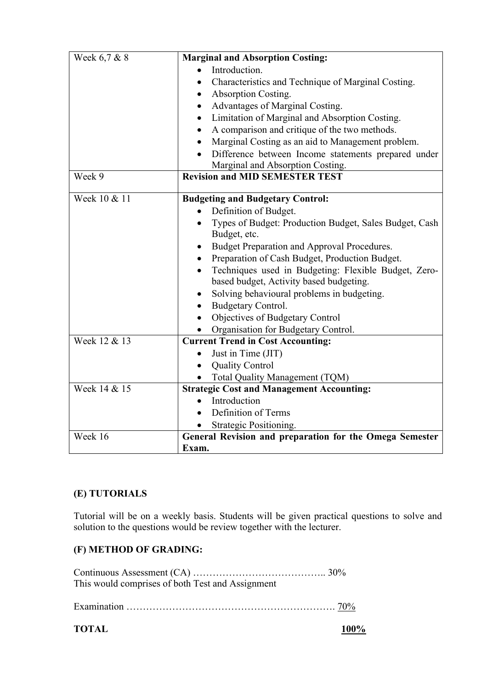| Week 6,7 & 8 | <b>Marginal and Absorption Costing:</b>                     |
|--------------|-------------------------------------------------------------|
|              | Introduction.                                               |
|              | Characteristics and Technique of Marginal Costing.          |
|              | Absorption Costing.                                         |
|              | Advantages of Marginal Costing.                             |
|              | Limitation of Marginal and Absorption Costing.              |
|              | A comparison and critique of the two methods.               |
|              | Marginal Costing as an aid to Management problem.           |
|              | Difference between Income statements prepared under         |
|              | Marginal and Absorption Costing.                            |
| Week 9       | <b>Revision and MID SEMESTER TEST</b>                       |
|              |                                                             |
| Week 10 & 11 | <b>Budgeting and Budgetary Control:</b>                     |
|              | Definition of Budget.                                       |
|              | Types of Budget: Production Budget, Sales Budget, Cash      |
|              | Budget, etc.                                                |
|              | Budget Preparation and Approval Procedures.<br>$\bullet$    |
|              | Preparation of Cash Budget, Production Budget.<br>$\bullet$ |
|              | Techniques used in Budgeting: Flexible Budget, Zero-        |
|              | based budget, Activity based budgeting.                     |
|              | Solving behavioural problems in budgeting.                  |
|              | Budgetary Control.<br>$\bullet$                             |
|              | Objectives of Budgetary Control<br>$\bullet$                |
|              | Organisation for Budgetary Control.                         |
| Week 12 & 13 | <b>Current Trend in Cost Accounting:</b>                    |
|              | Just in Time (JIT)                                          |
|              | <b>Quality Control</b>                                      |
|              | Total Quality Management (TQM)                              |
| Week 14 & 15 | <b>Strategic Cost and Management Accounting:</b>            |
|              | Introduction                                                |
|              | Definition of Terms<br>$\bullet$                            |
|              | Strategic Positioning.                                      |
| Week 16      | General Revision and preparation for the Omega Semester     |
|              | Exam.                                                       |

# **(E) TUTORIALS**

Tutorial will be on a weekly basis. Students will be given practical questions to solve and solution to the questions would be review together with the lecturer.

## **(F) METHOD OF GRADING:**

Continuous Assessment (CA) ………………………………….. 30% This would comprises of both Test and Assignment

Examination ………………………………………………………. 70%

**TOTAL 100%**